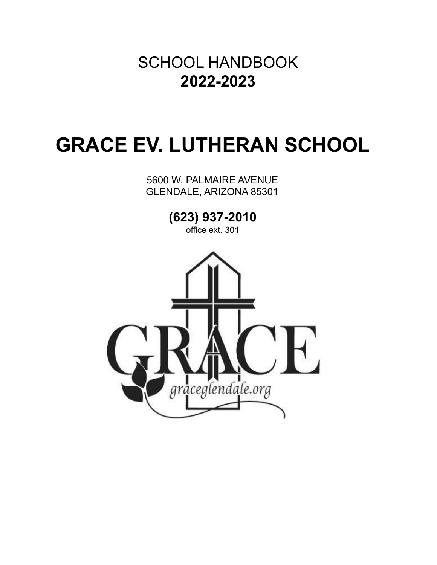# SCHOOL HANDBOOK **2022-2023**

# **GRACE EV. LUTHERAN SCHOOL**

5600 W. PALMAIRE AVENUE GLENDALE, ARIZONA 85301

> **(623) 937-2010** office ext. 301

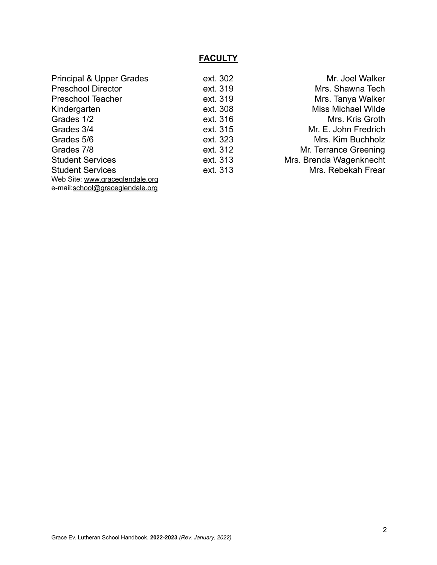# **FACULTY**

| <b>Principal &amp; Upper Grades</b> | ext. 302 | Mr. Joel Walker           |
|-------------------------------------|----------|---------------------------|
| <b>Preschool Director</b>           | ext. 319 | Mrs. Shawna Tech          |
| <b>Preschool Teacher</b>            | ext. 319 | Mrs. Tanya Walker         |
| Kindergarten                        | ext. 308 | <b>Miss Michael Wilde</b> |
| Grades 1/2                          | ext. 316 | Mrs. Kris Groth           |
| Grades 3/4                          | ext. 315 | Mr. E. John Fredrich      |
| Grades 5/6                          | ext. 323 | Mrs. Kim Buchholz         |
| Grades 7/8                          | ext. 312 | Mr. Terrance Greening     |
| <b>Student Services</b>             | ext. 313 | Mrs. Brenda Wagenknecht   |
| <b>Student Services</b>             | ext. 313 | Mrs. Rebekah Frear        |
| Web Site: www.graceglendale.org     |          |                           |
| e-mail:school@graceglendale.org     |          |                           |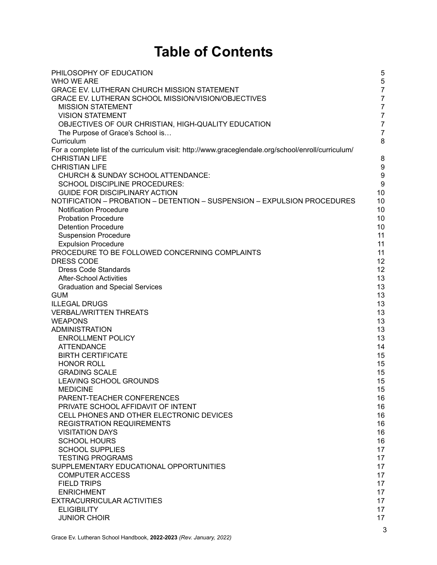# **Table of Contents**

| PHILOSOPHY OF EDUCATION                                                                             | 5                |
|-----------------------------------------------------------------------------------------------------|------------------|
| <b>WHO WE ARE</b>                                                                                   | $\frac{5}{7}$    |
| <b>GRACE EV. LUTHERAN CHURCH MISSION STATEMENT</b>                                                  |                  |
| GRACE EV. LUTHERAN SCHOOL MISSION/VISION/OBJECTIVES                                                 | $\overline{7}$   |
| <b>MISSION STATEMENT</b>                                                                            | $\overline{7}$   |
| <b>VISION STATEMENT</b>                                                                             | $\overline{7}$   |
| OBJECTIVES OF OUR CHRISTIAN, HIGH-QUALITY EDUCATION                                                 | $\overline{7}$   |
| The Purpose of Grace's School is                                                                    | $\overline{7}$   |
| Curriculum                                                                                          | 8                |
| For a complete list of the curriculum visit: http://www.graceglendale.org/school/enroll/curriculum/ |                  |
| <b>CHRISTIAN LIFE</b>                                                                               | 8                |
| <b>CHRISTIAN LIFE</b>                                                                               | $\boldsymbol{9}$ |
| CHURCH & SUNDAY SCHOOL ATTENDANCE:                                                                  | $\boldsymbol{9}$ |
| SCHOOL DISCIPLINE PROCEDURES:                                                                       | $\overline{9}$   |
| <b>GUIDE FOR DISCIPLINARY ACTION</b>                                                                | 10               |
| NOTIFICATION - PROBATION - DETENTION - SUSPENSION - EXPULSION PROCEDURES                            | 10               |
| <b>Notification Procedure</b>                                                                       | 10               |
| <b>Probation Procedure</b>                                                                          | 10               |
| <b>Detention Procedure</b>                                                                          | 10               |
| <b>Suspension Procedure</b>                                                                         | 11               |
| <b>Expulsion Procedure</b>                                                                          | 11               |
| PROCEDURE TO BE FOLLOWED CONCERNING COMPLAINTS                                                      | 11               |
| <b>DRESS CODE</b>                                                                                   | 12               |
| <b>Dress Code Standards</b>                                                                         | 12               |
| <b>After-School Activities</b>                                                                      | 13               |
| <b>Graduation and Special Services</b>                                                              | 13               |
| <b>GUM</b>                                                                                          | 13               |
| <b>ILLEGAL DRUGS</b>                                                                                | 13               |
| <b>VERBAL/WRITTEN THREATS</b>                                                                       | 13               |
| <b>WEAPONS</b>                                                                                      | 13               |
| <b>ADMINISTRATION</b>                                                                               | 13               |
| <b>ENROLLMENT POLICY</b>                                                                            | 13               |
| <b>ATTENDANCE</b>                                                                                   | 14               |
| <b>BIRTH CERTIFICATE</b>                                                                            | 15               |
| <b>HONOR ROLL</b>                                                                                   | 15               |
| <b>GRADING SCALE</b>                                                                                | 15               |
| LEAVING SCHOOL GROUNDS                                                                              | 15               |
| <b>MEDICINE</b>                                                                                     | 15               |
| PARENT-TEACHER CONFERENCES                                                                          | 16               |
| PRIVATE SCHOOL AFFIDAVIT OF INTENT                                                                  | 16               |
| CELL PHONES AND OTHER ELECTRONIC DEVICES                                                            | 16               |
| <b>REGISTRATION REQUIREMENTS</b>                                                                    | 16               |
| <b>VISITATION DAYS</b>                                                                              | 16               |
| <b>SCHOOL HOURS</b>                                                                                 | 16               |
| <b>SCHOOL SUPPLIES</b>                                                                              | 17               |
| <b>TESTING PROGRAMS</b>                                                                             | 17               |
| SUPPLEMENTARY EDUCATIONAL OPPORTUNITIES                                                             | 17               |
| <b>COMPUTER ACCESS</b>                                                                              | 17               |
| <b>FIELD TRIPS</b>                                                                                  | 17               |
| <b>ENRICHMENT</b>                                                                                   | 17               |
| EXTRACURRICULAR ACTIVITIES                                                                          | 17               |
| <b>ELIGIBILITY</b>                                                                                  | 17               |
| <b>JUNIOR CHOIR</b>                                                                                 | 17               |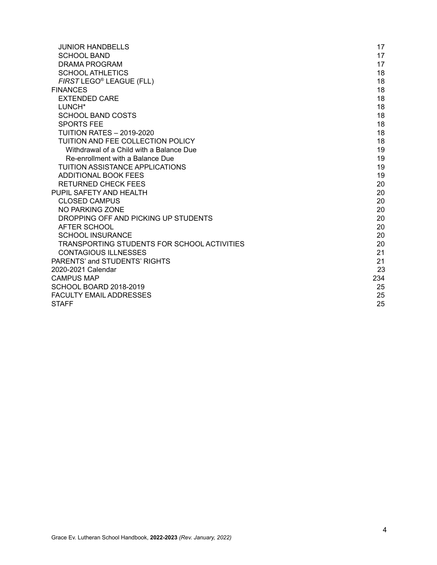| <b>JUNIOR HANDBELLS</b>                     | 17  |
|---------------------------------------------|-----|
| <b>SCHOOL BAND</b>                          | 17  |
| DRAMA PROGRAM                               | 17  |
| <b>SCHOOL ATHLETICS</b>                     | 18  |
| FIRST LEGO <sup>®</sup> LEAGUE (FLL)        | 18  |
| <b>FINANCES</b>                             | 18  |
| <b>EXTENDED CARE</b>                        | 18  |
| LUNCH <sup>*</sup>                          | 18  |
| <b>SCHOOL BAND COSTS</b>                    | 18  |
| <b>SPORTS FEE</b>                           | 18  |
| <b>TUITION RATES - 2019-2020</b>            | 18  |
| TUITION AND FEE COLLECTION POLICY           | 18  |
| Withdrawal of a Child with a Balance Due    | 19  |
| Re-enrollment with a Balance Due            | 19  |
| TUITION ASSISTANCE APPLICATIONS             | 19  |
| ADDITIONAL BOOK FEES                        | 19  |
| <b>RETURNED CHECK FEES</b>                  | 20  |
| PUPIL SAFETY AND HEALTH                     | 20  |
| <b>CLOSED CAMPUS</b>                        | 20  |
| NO PARKING ZONE                             | 20  |
| DROPPING OFF AND PICKING UP STUDENTS        | 20  |
| AFTER SCHOOL                                | 20  |
| <b>SCHOOL INSURANCE</b>                     | 20  |
| TRANSPORTING STUDENTS FOR SCHOOL ACTIVITIES | 20  |
| <b>CONTAGIOUS ILLNESSES</b>                 | 21  |
| PARENTS' and STUDENTS' RIGHTS               | 21  |
| 2020-2021 Calendar                          | 23  |
| <b>CAMPUS MAP</b>                           | 234 |
| <b>SCHOOL BOARD 2018-2019</b>               | 25  |
| <b>FACULTY EMAIL ADDRESSES</b>              | 25  |
| <b>STAFF</b>                                | 25  |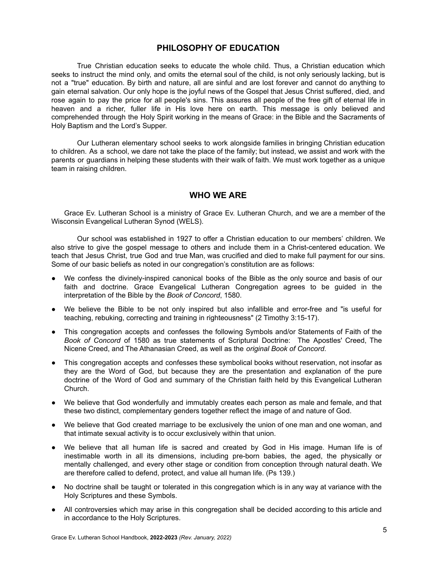#### **PHILOSOPHY OF EDUCATION**

<span id="page-4-0"></span>True Christian education seeks to educate the whole child. Thus, a Christian education which seeks to instruct the mind only, and omits the eternal soul of the child, is not only seriously lacking, but is not a "true" education. By birth and nature, all are sinful and are lost forever and cannot do anything to gain eternal salvation. Our only hope is the joyful news of the Gospel that Jesus Christ suffered, died, and rose again to pay the price for all people's sins. This assures all people of the free gift of eternal life in heaven and a richer, fuller life in His love here on earth. This message is only believed and comprehended through the Holy Spirit working in the means of Grace: in the Bible and the Sacraments of Holy Baptism and the Lord's Supper.

Our Lutheran elementary school seeks to work alongside families in bringing Christian education to children. As a school, we dare not take the place of the family; but instead, we assist and work with the parents or guardians in helping these students with their walk of faith. We must work together as a unique team in raising children.

#### **WHO WE ARE**

<span id="page-4-1"></span>Grace Ev. Lutheran School is a ministry of Grace Ev. Lutheran Church, and we are a member of the Wisconsin Evangelical Lutheran Synod (WELS).

Our school was established in 1927 to offer a Christian education to our members' children. We also strive to give the gospel message to others and include them in a Christ-centered education. We teach that Jesus Christ, true God and true Man, was crucified and died to make full payment for our sins. Some of our basic beliefs as noted in our congregation's constitution are as follows:

- We confess the divinely-inspired canonical books of the Bible as the only source and basis of our faith and doctrine. Grace Evangelical Lutheran Congregation agrees to be guided in the interpretation of the Bible by the *Book of Concord*, 1580.
- We believe the Bible to be not only inspired but also infallible and error-free and "is useful for teaching, rebuking, correcting and training in righteousness" (2 Timothy 3:15-17).
- This congregation accepts and confesses the following Symbols and/or Statements of Faith of the *Book of Concord* of 1580 as true statements of Scriptural Doctrine: The Apostles' Creed, The Nicene Creed, and The Athanasian Creed, as well as the *original Book of Concord*.
- This congregation accepts and confesses these symbolical books without reservation, not insofar as they are the Word of God, but because they are the presentation and explanation of the pure doctrine of the Word of God and summary of the Christian faith held by this Evangelical Lutheran Church.
- We believe that God wonderfully and immutably creates each person as male and female, and that these two distinct, complementary genders together reflect the image of and nature of God.
- We believe that God created marriage to be exclusively the union of one man and one woman, and that intimate sexual activity is to occur exclusively within that union.
- We believe that all human life is sacred and created by God in His image. Human life is of inestimable worth in all its dimensions, including pre-born babies, the aged, the physically or mentally challenged, and every other stage or condition from conception through natural death. We are therefore called to defend, protect, and value all human life. (Ps 139.)
- No doctrine shall be taught or tolerated in this congregation which is in any way at variance with the Holy Scriptures and these Symbols.
- All controversies which may arise in this congregation shall be decided according to this article and in accordance to the Holy Scriptures.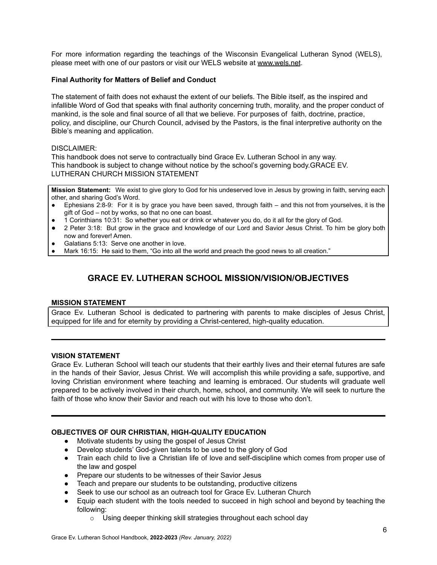For more information regarding the teachings of the Wisconsin Evangelical Lutheran Synod (WELS), please meet with one of our pastors or visit our WELS website at [www.wels.net](http://www.wels.net).

#### **Final Authority for Matters of Belief and Conduct**

The statement of faith does not exhaust the extent of our beliefs. The Bible itself, as the inspired and infallible Word of God that speaks with final authority concerning truth, morality, and the proper conduct of mankind, is the sole and final source of all that we believe. For purposes of faith, doctrine, practice, policy, and discipline, our Church Council, advised by the Pastors, is the final interpretive authority on the Bible's meaning and application.

#### DISCLAIMER:

This handbook does not serve to contractually bind Grace Ev. Lutheran School in any way. This handbook is subject to change without notice by the school's governing body.GRACE EV. LUTHERAN CHURCH MISSION STATEMENT

**Mission Statement:** We exist to give glory to God for his undeserved love in Jesus by growing in faith, serving each other, and sharing God's Word.

- Ephesians 2:8-9: For it is by grace you have been saved, through faith and this not from yourselves, it is the gift of God – not by works, so that no one can boast.
- 1 Corinthians 10:31: So whether you eat or drink or whatever you do, do it all for the glory of God.
- 2 Peter 3:18: But grow in the grace and knowledge of our Lord and Savior Jesus Christ. To him be glory both now and forever! Amen.
- Galatians 5:13: Serve one another in love.
- <span id="page-5-0"></span>Mark 16:15: He said to them, "Go into all the world and preach the good news to all creation."

# **GRACE EV. LUTHERAN SCHOOL MISSION/VISION/OBJECTIVES**

#### <span id="page-5-1"></span>**MISSION STATEMENT**

Grace Ev. Lutheran School is dedicated to partnering with parents to make disciples of Jesus Christ, equipped for life and for eternity by providing a Christ-centered, high-quality education.

#### <span id="page-5-2"></span>**VISION STATEMENT**

Grace Ev. Lutheran School will teach our students that their earthly lives and their eternal futures are safe in the hands of their Savior, Jesus Christ. We will accomplish this while providing a safe, supportive, and loving Christian environment where teaching and learning is embraced. Our students will graduate well prepared to be actively involved in their church, home, school, and community. We will seek to nurture the faith of those who know their Savior and reach out with his love to those who don't.

#### <span id="page-5-3"></span>**OBJECTIVES OF OUR CHRISTIAN, HIGH-QUALITY EDUCATION**

- Motivate students by using the gospel of Jesus Christ
- Develop students' God-given talents to be used to the glory of God
- Train each child to live a Christian life of love and self-discipline which comes from proper use of the law and gospel
- Prepare our students to be witnesses of their Savior Jesus
- Teach and prepare our students to be outstanding, productive citizens
- Seek to use our school as an outreach tool for Grace Ev. Lutheran Church
- Equip each student with the tools needed to succeed in high school and beyond by teaching the following:
	- o Using deeper thinking skill strategies throughout each school day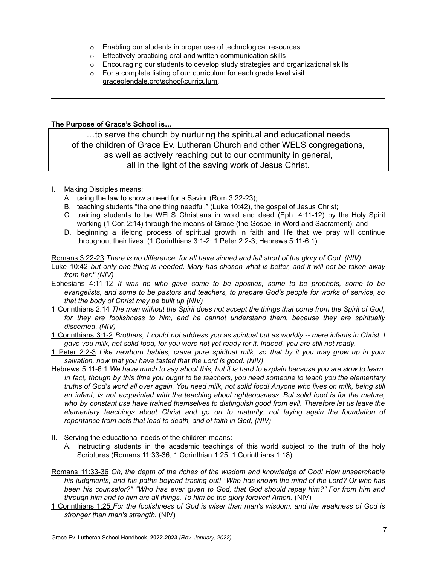- o Enabling our students in proper use of technological resources
- o Effectively practicing oral and written communication skills
- o Encouraging our students to develop study strategies and organizational skills
- o For a complete listing of our curriculum for each grade level visit graceglendale.org\school\curriculum.

#### <span id="page-6-0"></span>**The Purpose of Grace's School is…**

…to serve the church by nurturing the spiritual and educational needs of the children of Grace Ev. Lutheran Church and other WELS congregations, as well as actively reaching out to our community in general, all in the light of the saving work of Jesus Christ.

- I. Making Disciples means:
	- A. using the law to show a need for a Savior (Rom 3:22-23);
	- B. teaching students "the one thing needful," (Luke 10:42), the gospel of Jesus Christ;
	- C. training students to be WELS Christians in word and deed (Eph. 4:11-12) by the Holy Spirit working (1 Cor. 2:14) through the means of Grace (the Gospel in Word and Sacrament); and
	- D. beginning a lifelong process of spiritual growth in faith and life that we pray will continue throughout their lives. (1 Corinthians 3:1-2; 1 Peter 2:2-3; Hebrews 5:11-6:1).

Romans 3:22-23 *There is no difference, for all have sinned and fall short of the glory of God. (NIV)*

- Luke 10:42 but only one thing is needed. Mary has chosen what is better, and it will not be taken away *from her." (NIV)*
- Ephesians 4:11-12 *It was he who gave some to be apostles, some to be prophets, some to be evangelists, and some to be pastors and teachers, to prepare God's people for works of service, so that the body of Christ may be built up (NIV)*
- 1 Corinthians 2:14 The man without the Spirit does not accept the things that come from the Spirit of God, *for they are foolishness to him, and he cannot understand them, because they are spiritually discerned*. *(NIV)*
- 1 Corinthians 3:1-2 Brothers, I could not address you as spiritual but as worldly -- mere infants in Christ. I gave you milk, not solid food, for you were not yet ready for it. Indeed, you are still not ready.
- 1 Peter 2:2-3 *Like newborn babies, crave pure spiritual milk, so that by it you may grow up in your salvation, now that you have tasted that the Lord is good. (NIV)*
- Hebrews 5:11-6:1 We have much to say about this, but it is hard to explain because you are slow to learn. In fact, though by this time you ought to be teachers, you need someone to teach you the elementary truths of God's word all over again. You need milk, not solid food! Anyone who lives on milk, being still *an infant, is not acquainted with the teaching about righteousness. But solid food is for the mature, who by constant use have trained themselves to distinguish good from evil. Therefore let us leave the elementary teachings about Christ and go on to maturity, not laying again the foundation of repentance from acts that lead to death, and of faith in God, (NIV)*
- II. Serving the educational needs of the children means:
	- A. Instructing students in the academic teachings of this world subject to the truth of the holy Scriptures (Romans 11:33-36, 1 Corinthian 1:25, 1 Corinthians 1:18).

Romans 11:33-36 *Oh, the depth of the riches of the wisdom and knowledge of God! How unsearchable* his judgments, and his paths beyond tracing out! "Who has known the mind of the Lord? Or who has *been his counselor?" "Who has ever given to God, that God should repay him?" For from him and through him and to him are all things. To him be the glory forever! Amen.* (NIV)

1 Corinthians 1:25 *For the foolishness of God is wiser than man's wisdom, and the weakness of God is stronger than man's strength.* (NIV)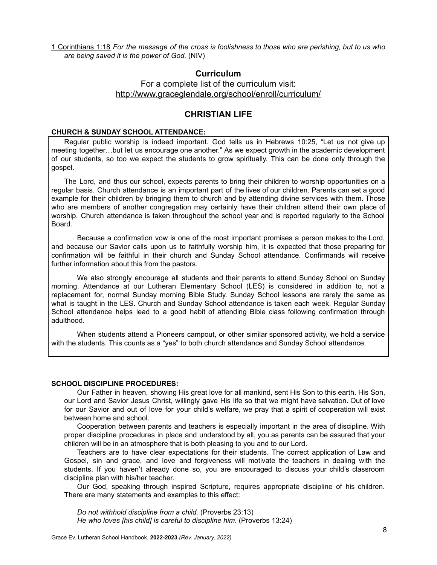<span id="page-7-0"></span>1 Corinthians 1:18 *For the message of the cross is foolishness to those who are perishing, but to us who are being saved it is the power of God.* (NIV)

#### **Curriculum**

## For a complete list of the curriculum visit: <http://www.graceglendale.org/school/enroll/curriculum/>

#### **CHRISTIAN LIFE**

#### <span id="page-7-2"></span><span id="page-7-1"></span>**CHURCH & SUNDAY SCHOOL ATTENDANCE:**

Regular public worship is indeed important. God tells us in Hebrews 10:25, "Let us not give up meeting together…but let us encourage one another." As we expect growth in the academic development of our students, so too we expect the students to grow spiritually. This can be done only through the gospel.

The Lord, and thus our school, expects parents to bring their children to worship opportunities on a regular basis. Church attendance is an important part of the lives of our children. Parents can set a good example for their children by bringing them to church and by attending divine services with them. Those who are members of another congregation may certainly have their children attend their own place of worship. Church attendance is taken throughout the school year and is reported regularly to the School Board.

Because a confirmation vow is one of the most important promises a person makes to the Lord, and because our Savior calls upon us to faithfully worship him, it is expected that those preparing for confirmation will be faithful in their church and Sunday School attendance. Confirmands will receive further information about this from the pastors.

We also strongly encourage all students and their parents to attend Sunday School on Sunday morning. Attendance at our Lutheran Elementary School (LES) is considered in addition to, not a replacement for, normal Sunday morning Bible Study. Sunday School lessons are rarely the same as what is taught in the LES. Church and Sunday School attendance is taken each week. Regular Sunday School attendance helps lead to a good habit of attending Bible class following confirmation through adulthood.

When students attend a Pioneers campout, or other similar sponsored activity, we hold a service with the students. This counts as a "yes" to both church attendance and Sunday School attendance.

#### <span id="page-7-3"></span>**SCHOOL DISCIPLINE PROCEDURES:**

Our Father in heaven, showing His great love for all mankind, sent His Son to this earth. His Son, our Lord and Savior Jesus Christ, willingly gave His life so that we might have salvation. Out of love for our Savior and out of love for your child's welfare, we pray that a spirit of cooperation will exist between home and school.

Cooperation between parents and teachers is especially important in the area of discipline. With proper discipline procedures in place and understood by all, you as parents can be assured that your children will be in an atmosphere that is both pleasing to you and to our Lord.

Teachers are to have clear expectations for their students. The correct application of Law and Gospel, sin and grace, and love and forgiveness will motivate the teachers in dealing with the students. If you haven't already done so, you are encouraged to discuss your child's classroom discipline plan with his/her teacher.

Our God, speaking through inspired Scripture, requires appropriate discipline of his children. There are many statements and examples to this effect:

*Do not withhold discipline from a child.* (Proverbs 23:13) *He who loves [his child] is careful to discipline him*. (Proverbs 13:24)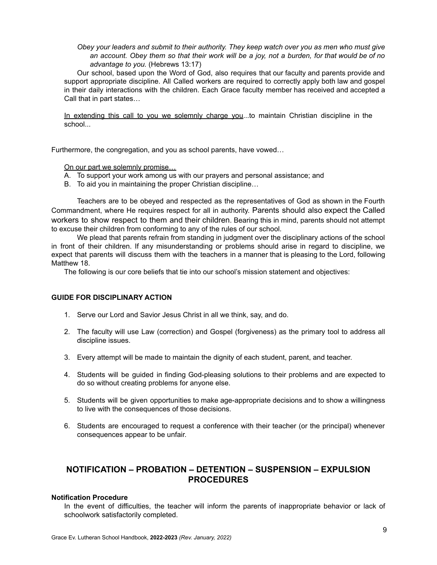#### *Obey your leaders and submit to their authority. They keep watch over you as men who must give* an account. Obey them so that their work will be a joy, not a burden, for that would be of no *advantage to you.* (Hebrews 13:17)

Our school, based upon the Word of God, also requires that our faculty and parents provide and support appropriate discipline. All Called workers are required to correctly apply both law and gospel in their daily interactions with the children. Each Grace faculty member has received and accepted a Call that in part states…

In extending this call to you we solemnly charge you...to maintain Christian discipline in the school...

Furthermore, the congregation, and you as school parents, have vowed…

On our part we solemnly promise…

- A. To support your work among us with our prayers and personal assistance; and
- B. To aid you in maintaining the proper Christian discipline…

Teachers are to be obeyed and respected as the representatives of God as shown in the Fourth Commandment, where He requires respect for all in authority. Parents should also expect the Called workers to show respect to them and their children. Bearing this in mind, parents should not attempt to excuse their children from conforming to any of the rules of our school.

We plead that parents refrain from standing in judgment over the disciplinary actions of the school in front of their children. If any misunderstanding or problems should arise in regard to discipline, we expect that parents will discuss them with the teachers in a manner that is pleasing to the Lord, following Matthew 18.

The following is our core beliefs that tie into our school's mission statement and objectives:

#### <span id="page-8-0"></span>**GUIDE FOR DISCIPLINARY ACTION**

- 1. Serve our Lord and Savior Jesus Christ in all we think, say, and do.
- 2. The faculty will use Law (correction) and Gospel (forgiveness) as the primary tool to address all discipline issues.
- 3. Every attempt will be made to maintain the dignity of each student, parent, and teacher.
- 4. Students will be guided in finding God-pleasing solutions to their problems and are expected to do so without creating problems for anyone else.
- 5. Students will be given opportunities to make age-appropriate decisions and to show a willingness to live with the consequences of those decisions.
- 6. Students are encouraged to request a conference with their teacher (or the principal) whenever consequences appear to be unfair.

### <span id="page-8-1"></span>**NOTIFICATION – PROBATION – DETENTION – SUSPENSION – EXPULSION PROCEDURES**

#### <span id="page-8-2"></span>**Notification Procedure**

In the event of difficulties, the teacher will inform the parents of inappropriate behavior or lack of schoolwork satisfactorily completed.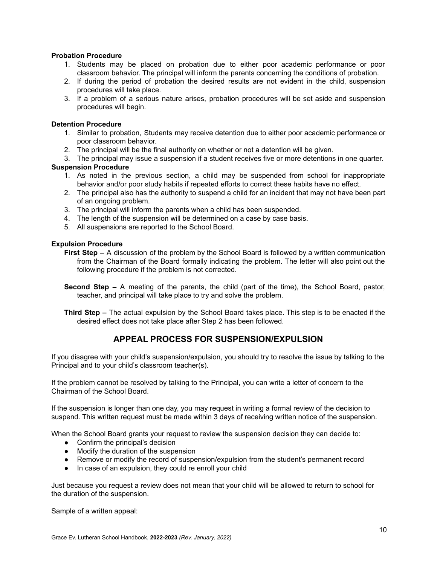#### <span id="page-9-0"></span>**Probation Procedure**

- 1. Students may be placed on probation due to either poor academic performance or poor classroom behavior. The principal will inform the parents concerning the conditions of probation.
- 2. If during the period of probation the desired results are not evident in the child, suspension procedures will take place.
- 3. If a problem of a serious nature arises, probation procedures will be set aside and suspension procedures will begin.

#### <span id="page-9-1"></span>**Detention Procedure**

- 1. Similar to probation, Students may receive detention due to either poor academic performance or poor classroom behavior.
- 2. The principal will be the final authority on whether or not a detention will be given.
- <span id="page-9-2"></span>3. The principal may issue a suspension if a student receives five or more detentions in one quarter. **Suspension Procedure**

- 1. As noted in the previous section, a child may be suspended from school for inappropriate behavior and/or poor study habits if repeated efforts to correct these habits have no effect.
- 2. The principal also has the authority to suspend a child for an incident that may not have been part of an ongoing problem.
- 3. The principal will inform the parents when a child has been suspended.
- 4. The length of the suspension will be determined on a case by case basis.
- 5. All suspensions are reported to the School Board.

#### <span id="page-9-3"></span>**Expulsion Procedure**

- **First Step –** A discussion of the problem by the School Board is followed by a written communication from the Chairman of the Board formally indicating the problem. The letter will also point out the following procedure if the problem is not corrected.
- **Second Step –** A meeting of the parents, the child (part of the time), the School Board, pastor, teacher, and principal will take place to try and solve the problem.
- **Third Step –** The actual expulsion by the School Board takes place. This step is to be enacted if the desired effect does not take place after Step 2 has been followed.

# **APPEAL PROCESS FOR SUSPENSION/EXPULSION**

If you disagree with your child's suspension/expulsion, you should try to resolve the issue by talking to the Principal and to your child's classroom teacher(s).

If the problem cannot be resolved by talking to the Principal, you can write a letter of concern to the Chairman of the School Board.

If the suspension is longer than one day, you may request in writing a formal review of the decision to suspend. This written request must be made within 3 days of receiving written notice of the suspension.

When the School Board grants your request to review the suspension decision they can decide to:

- Confirm the principal's decision
- Modify the duration of the suspension
- Remove or modify the record of suspension/expulsion from the student's permanent record
- In case of an expulsion, they could re enroll your child

Just because you request a review does not mean that your child will be allowed to return to school for the duration of the suspension.

Sample of a written appeal: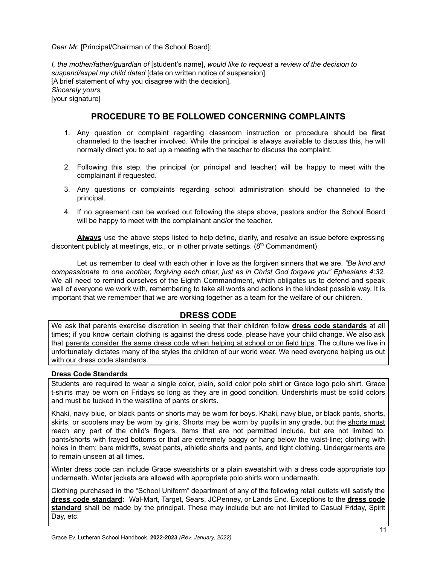*Dear Mr.* [Principal/Chairman of the School Board]:

*I, the mother/father/guardian of* [student's name], *would like to request a review of the decision to suspend/expel my child dated* [date on written notice of suspension]. [A brief statement of why you disagree with the decision]. *Sincerely yours,* [your signature]

## **PROCEDURE TO BE FOLLOWED CONCERNING COMPLAINTS**

- <span id="page-10-0"></span>1. Any question or complaint regarding classroom instruction or procedure should be **first** channeled to the teacher involved. While the principal is always available to discuss this, he will normally direct you to set up a meeting with the teacher to discuss the complaint.
- 2. Following this step, the principal (or principal and teacher) will be happy to meet with the complainant if requested.
- 3. Any questions or complaints regarding school administration should be channeled to the principal.
- 4. If no agreement can be worked out following the steps above, pastors and/or the School Board will be happy to meet with the complainant and/or the teacher.

**Always** use the above steps listed to help define, clarify, and resolve an issue before expressing discontent publicly at meetings, etc., or in other private settings. (8<sup>th</sup> Commandment)

Let us remember to deal with each other in love as the forgiven sinners that we are. *"Be kind and compassionate to one another, forgiving each other, just as in Christ God forgave you" Ephesians 4:32.* We all need to remind ourselves of the Eighth Commandment, which obligates us to defend and speak well of everyone we work with, remembering to take all words and actions in the kindest possible way. It is important that we remember that we are working together as a team for the welfare of our children.

#### **DRESS CODE**

<span id="page-10-1"></span>We ask that parents exercise discretion in seeing that their children follow **dress code standards** at all times; if you know certain clothing is against the dress code, please have your child change. We also ask that parents consider the same dress code when helping at school or on field trips. The culture we live in unfortunately dictates many of the styles the children of our world wear. We need everyone helping us out with our dress code standards.

#### <span id="page-10-2"></span>**Dress Code Standards**

Students are required to wear a single color, plain, solid color polo shirt or Grace logo polo shirt. Grace t-shirts may be worn on Fridays so long as they are in good condition. Undershirts must be solid colors and must be tucked in the waistline of pants or skirts.

Khaki, navy blue, or black pants or shorts may be worn for boys. Khaki, navy blue, or black pants, shorts, skirts, or scooters may be worn by girls. Shorts may be worn by pupils in any grade, but the shorts must reach any part of the child's fingers. Items that are not permitted include, but are not limited to, pants/shorts with frayed bottoms or that are extremely baggy or hang below the waist-line; clothing with holes in them; bare midriffs, sweat pants, athletic shorts and pants, and tight clothing. Undergarments are to remain unseen at all times.

Winter dress code can include Grace sweatshirts or a plain sweatshirt with a dress code appropriate top underneath. Winter jackets are allowed with appropriate polo shirts worn underneath.

Clothing purchased in the "School Uniform" department of any of the following retail outlets will satisfy the **dress code standard:** Wal-Mart, Target, Sears, JCPenney, or Lands End. Exceptions to the **dress code standard** shall be made by the principal. These may include but are not limited to Casual Friday, Spirit Day, etc.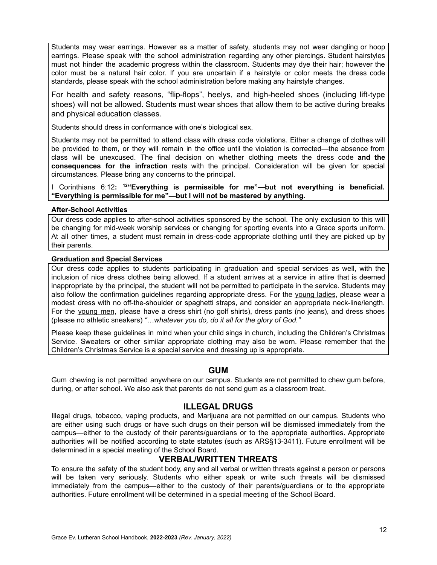Students may wear earrings. However as a matter of safety, students may not wear dangling or hoop earrings. Please speak with the school administration regarding any other piercings. Student hairstyles must not hinder the academic progress within the classroom. Students may dye their hair; however the color must be a natural hair color. If you are uncertain if a hairstyle or color meets the dress code standards, please speak with the school administration before making any hairstyle changes.

For health and safety reasons, "flip-flops", heelys, and high-heeled shoes (including lift-type shoes) will not be allowed. Students must wear shoes that allow them to be active during breaks and physical education classes.

Students should dress in conformance with one's biological sex.

Students may not be permitted to attend class with dress code violations. Either a change of clothes will be provided to them, or they will remain in the office until the violation is corrected—the absence from class will be unexcused. The final decision on whether clothing meets the dress code **and the consequences for the infraction** rests with the principal. Consideration will be given for special circumstances. Please bring any concerns to the principal.

I Corinthians 6:12**: <sup>12</sup>"Everything is permissible for me"—but not everything is beneficial. "Everything is permissible for me"—but I will not be mastered by anything.**

#### <span id="page-11-0"></span>**After-School Activities**

Our dress code applies to after-school activities sponsored by the school. The only exclusion to this will be changing for mid-week worship services or changing for sporting events into a Grace sports uniform. At all other times, a student must remain in dress-code appropriate clothing until they are picked up by their parents.

#### <span id="page-11-1"></span>**Graduation and Special Services**

Our dress code applies to students participating in graduation and special services as well, with the inclusion of nice dress clothes being allowed. If a student arrives at a service in attire that is deemed inappropriate by the principal, the student will not be permitted to participate in the service. Students may also follow the confirmation guidelines regarding appropriate dress. For the young ladies, please wear a modest dress with no off-the-shoulder or spaghetti straps, and consider an appropriate neck-line/length. For the young men, please have a dress shirt (no golf shirts), dress pants (no jeans), and dress shoes (please no athletic sneakers) *"…whatever you do, do it all for the glory of God."*

Please keep these guidelines in mind when your child sings in church, including the Children's Christmas Service. Sweaters or other similar appropriate clothing may also be worn. Please remember that the Children's Christmas Service is a special service and dressing up is appropriate.

#### **GUM**

<span id="page-11-2"></span>Gum chewing is not permitted anywhere on our campus. Students are not permitted to chew gum before, during, or after school. We also ask that parents do not send gum as a classroom treat.

#### **ILLEGAL DRUGS**

<span id="page-11-3"></span>Illegal drugs, tobacco, vaping products, and Marijuana are not permitted on our campus. Students who are either using such drugs or have such drugs on their person will be dismissed immediately from the campus—either to the custody of their parents/guardians or to the appropriate authorities. Appropriate authorities will be notified according to state statutes (such as ARS§13-3411). Future enrollment will be determined in a special meeting of the School Board.

#### **VERBAL/WRITTEN THREATS**

<span id="page-11-4"></span>To ensure the safety of the student body, any and all verbal or written threats against a person or persons will be taken very seriously. Students who either speak or write such threats will be dismissed immediately from the campus—either to the custody of their parents/guardians or to the appropriate authorities. Future enrollment will be determined in a special meeting of the School Board.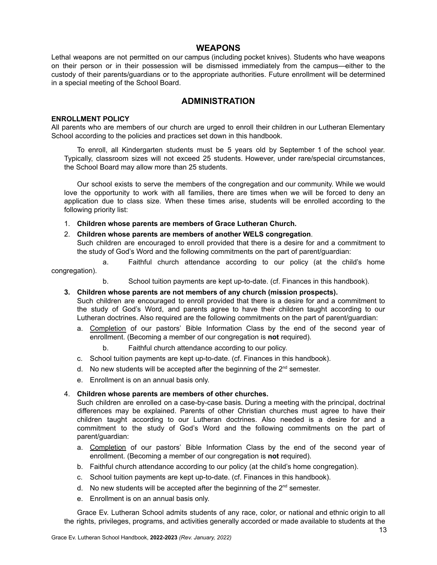#### **WEAPONS**

<span id="page-12-0"></span>Lethal weapons are not permitted on our campus (including pocket knives). Students who have weapons on their person or in their possession will be dismissed immediately from the campus—either to the custody of their parents/guardians or to the appropriate authorities. Future enrollment will be determined in a special meeting of the School Board.

#### **ADMINISTRATION**

#### <span id="page-12-2"></span><span id="page-12-1"></span>**ENROLLMENT POLICY**

All parents who are members of our church are urged to enroll their children in our Lutheran Elementary School according to the policies and practices set down in this handbook.

To enroll, all Kindergarten students must be 5 years old by September 1 of the school year. Typically, classroom sizes will not exceed 25 students. However, under rare/special circumstances, the School Board may allow more than 25 students.

Our school exists to serve the members of the congregation and our community. While we would love the opportunity to work with all families, there are times when we will be forced to deny an application due to class size. When these times arise, students will be enrolled according to the following priority list:

1. **Children whose parents are members of Grace Lutheran Church.**

2. **Children whose parents are members of another WELS congregation**.

Such children are encouraged to enroll provided that there is a desire for and a commitment to the study of God's Word and the following commitments on the part of parent/guardian:

a. Faithful church attendance according to our policy (at the child's home congregation).

b. School tuition payments are kept up-to-date. (cf. Finances in this handbook).

**3. Children whose parents are not members of any church (mission prospects).**

Such children are encouraged to enroll provided that there is a desire for and a commitment to the study of God's Word, and parents agree to have their children taught according to our Lutheran doctrines. Also required are the following commitments on the part of parent/guardian:

- a. Completion of our pastors' Bible Information Class by the end of the second year of enrollment. (Becoming a member of our congregation is **not** required).
	- b. Faithful church attendance according to our policy.
- c. School tuition payments are kept up-to-date. (cf. Finances in this handbook).
- d. No new students will be accepted after the beginning of the  $2<sup>nd</sup>$  semester.
- e. Enrollment is on an annual basis only.

#### 4. **Children whose parents are members of other churches.**

Such children are enrolled on a case-by-case basis. During a meeting with the principal, doctrinal differences may be explained. Parents of other Christian churches must agree to have their children taught according to our Lutheran doctrines. Also needed is a desire for and a commitment to the study of God's Word and the following commitments on the part of parent/guardian:

- a. Completion of our pastors' Bible Information Class by the end of the second year of enrollment. (Becoming a member of our congregation is **not** required).
- b. Faithful church attendance according to our policy (at the child's home congregation).
- c. School tuition payments are kept up-to-date. (cf. Finances in this handbook).
- d. No new students will be accepted after the beginning of the  $2<sup>nd</sup>$  semester.
- e. Enrollment is on an annual basis only.

Grace Ev. Lutheran School admits students of any race, color, or national and ethnic origin to all the rights, privileges, programs, and activities generally accorded or made available to students at the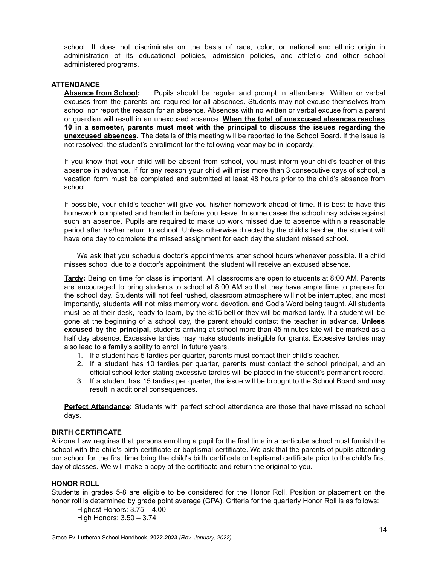school. It does not discriminate on the basis of race, color, or national and ethnic origin in administration of its educational policies, admission policies, and athletic and other school administered programs.

#### <span id="page-13-0"></span>**ATTENDANCE**

**Absence from School:** Pupils should be regular and prompt in attendance. Written or verbal excuses from the parents are required for all absences. Students may not excuse themselves from school nor report the reason for an absence. Absences with no written or verbal excuse from a parent or guardian will result in an unexcused absence. **When the total of unexcused absences reaches 10 in a semester, parents must meet with the principal to discuss the issues regarding the unexcused absences.** The details of this meeting will be reported to the School Board. If the issue is not resolved, the student's enrollment for the following year may be in jeopardy.

If you know that your child will be absent from school, you must inform your child's teacher of this absence in advance. If for any reason your child will miss more than 3 consecutive days of school, a vacation form must be completed and submitted at least 48 hours prior to the child's absence from school.

If possible, your child's teacher will give you his/her homework ahead of time. It is best to have this homework completed and handed in before you leave. In some cases the school may advise against such an absence. Pupils are required to make up work missed due to absence within a reasonable period after his/her return to school. Unless otherwise directed by the child's teacher, the student will have one day to complete the missed assignment for each day the student missed school.

We ask that you schedule doctor's appointments after school hours whenever possible. If a child misses school due to a doctor's appointment, the student will receive an excused absence.

**Tardy:** Being on time for class is important. All classrooms are open to students at 8:00 AM. Parents are encouraged to bring students to school at 8:00 AM so that they have ample time to prepare for the school day. Students will not feel rushed, classroom atmosphere will not be interrupted, and most importantly, students will not miss memory work, devotion, and God's Word being taught. All students must be at their desk, ready to learn, by the 8:15 bell or they will be marked tardy. If a student will be gone at the beginning of a school day, the parent should contact the teacher in advance. **Unless excused by the principal,** students arriving at school more than 45 minutes late will be marked as a half day absence. Excessive tardies may make students ineligible for grants. Excessive tardies may also lead to a family's ability to enroll in future years.

- 1. If a student has 5 tardies per quarter, parents must contact their child's teacher.
- 2. If a student has 10 tardies per quarter, parents must contact the school principal, and an official school letter stating excessive tardies will be placed in the student's permanent record.
- 3. If a student has 15 tardies per quarter, the issue will be brought to the School Board and may result in additional consequences.

**Perfect Attendance:** Students with perfect school attendance are those that have missed no school days.

#### <span id="page-13-1"></span>**BIRTH CERTIFICATE**

Arizona Law requires that persons enrolling a pupil for the first time in a particular school must furnish the school with the child's birth certificate or baptismal certificate. We ask that the parents of pupils attending our school for the first time bring the child's birth certificate or baptismal certificate prior to the child's first day of classes. We will make a copy of the certificate and return the original to you.

#### <span id="page-13-2"></span>**HONOR ROLL**

Students in grades 5-8 are eligible to be considered for the Honor Roll. Position or placement on the honor roll is determined by grade point average (GPA). Criteria for the quarterly Honor Roll is as follows:

Highest Honors: 3.75 – 4.00 High Honors: 3.50 – 3.74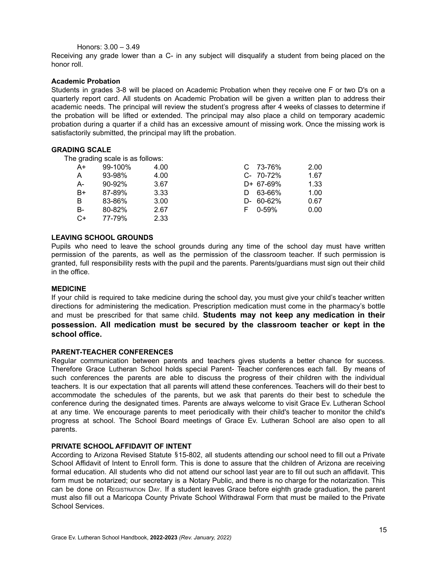#### Honors: 3.00 – 3.49

Receiving any grade lower than a C- in any subject will disqualify a student from being placed on the honor roll.

#### **Academic Probation**

Students in grades 3-8 will be placed on Academic Probation when they receive one F or two D's on a quarterly report card. All students on Academic Probation will be given a written plan to address their academic needs. The principal will review the student's progress after 4 weeks of classes to determine if the probation will be lifted or extended. The principal may also place a child on temporary academic probation during a quarter if a child has an excessive amount of missing work. Once the missing work is satisfactorily submitted, the principal may lift the probation.

#### <span id="page-14-0"></span>**GRADING SCALE**

The grading scale is as follows:

| . . |          |      |                 |      |
|-----|----------|------|-----------------|------|
| A+  | 99-100%  | 4.00 | C 73-76%        | 2.00 |
| A   | 93-98%   | 4.00 | $C - 70-72%$    | 1.67 |
| А-  | $90-92%$ | 3.67 | D+ 67-69%       | 1.33 |
| B+  | 87-89%   | 3.33 | 63-66%          | 1.00 |
| B   | 83-86%   | 3.00 | $D - 60 - 62%$  | 0.67 |
| В-  | 80-82%   | 2.67 | $0 - 59%$<br>F. | 0.00 |
| C+  | 77-79%   | 2.33 |                 |      |
|     |          |      |                 |      |

#### <span id="page-14-1"></span>**LEAVING SCHOOL GROUNDS**

Pupils who need to leave the school grounds during any time of the school day must have written permission of the parents, as well as the permission of the classroom teacher. If such permission is granted, full responsibility rests with the pupil and the parents. Parents/guardians must sign out their child in the office.

#### <span id="page-14-2"></span>**MEDICINE**

If your child is required to take medicine during the school day, you must give your child's teacher written directions for administering the medication. Prescription medication must come in the pharmacy's bottle and must be prescribed for that same child. **Students may not keep any medication in their possession. All medication must be secured by the classroom teacher or kept in the school office.**

#### <span id="page-14-3"></span>**PARENT-TEACHER CONFERENCES**

Regular communication between parents and teachers gives students a better chance for success. Therefore Grace Lutheran School holds special Parent- Teacher conferences each fall. By means of such conferences the parents are able to discuss the progress of their children with the individual teachers. It is our expectation that all parents will attend these conferences. Teachers will do their best to accommodate the schedules of the parents, but we ask that parents do their best to schedule the conference during the designated times. Parents are always welcome to visit Grace Ev. Lutheran School at any time. We encourage parents to meet periodically with their child's teacher to monitor the child's progress at school. The School Board meetings of Grace Ev. Lutheran School are also open to all parents.

#### <span id="page-14-4"></span>**PRIVATE SCHOOL AFFIDAVIT OF INTENT**

According to Arizona Revised Statute §15-802, all students attending our school need to fill out a Private School Affidavit of Intent to Enroll form. This is done to assure that the children of Arizona are receiving formal education. All students who did not attend our school last year are to fill out such an affidavit. This form must be notarized; our secretary is a Notary Public, and there is no charge for the notarization. This can be done on REGISTRATION DAY. If a student leaves Grace before eighth grade graduation, the parent must also fill out a Maricopa County Private School Withdrawal Form that must be mailed to the Private School Services.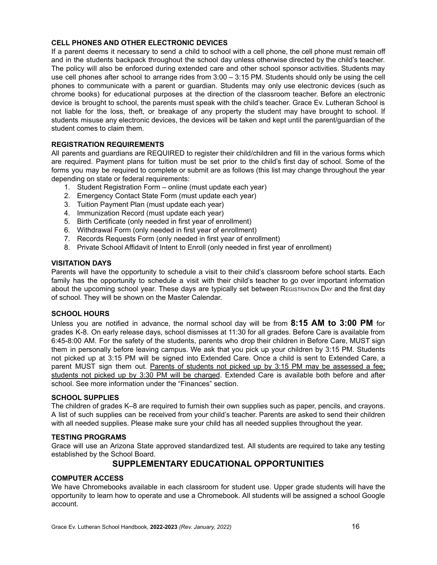#### <span id="page-15-0"></span>**CELL PHONES AND OTHER ELECTRONIC DEVICES**

If a parent deems it necessary to send a child to school with a cell phone, the cell phone must remain off and in the students backpack throughout the school day unless otherwise directed by the child's teacher. The policy will also be enforced during extended care and other school sponsor activities. Students may use cell phones after school to arrange rides from 3:00 – 3:15 PM. Students should only be using the cell phones to communicate with a parent or guardian. Students may only use electronic devices (such as chrome books) for educational purposes at the direction of the classroom teacher. Before an electronic device is brought to school, the parents must speak with the child's teacher. Grace Ev. Lutheran School is not liable for the loss, theft, or breakage of any property the student may have brought to school. If students misuse any electronic devices, the devices will be taken and kept until the parent/guardian of the student comes to claim them.

#### <span id="page-15-1"></span>**REGISTRATION REQUIREMENTS**

All parents and guardians are REQUIRED to register their child/children and fill in the various forms which are required. Payment plans for tuition must be set prior to the child's first day of school. Some of the forms you may be required to complete or submit are as follows (this list may change throughout the year depending on state or federal requirements:

- 1. Student Registration Form online (must update each year)
- 2. Emergency Contact State Form (must update each year)
- 3. Tuition Payment Plan (must update each year)
- 4. Immunization Record (must update each year)
- 5. Birth Certificate (only needed in first year of enrollment)
- 6. Withdrawal Form (only needed in first year of enrollment)
- 7. Records Requests Form (only needed in first year of enrollment)
- 8. Private School Affidavit of Intent to Enroll (only needed in first year of enrollment)

#### <span id="page-15-2"></span>**VISITATION DAYS**

Parents will have the opportunity to schedule a visit to their child's classroom before school starts. Each family has the opportunity to schedule a visit with their child's teacher to go over important information about the upcoming school year. These days are typically set between REGISTRATION DAY and the first day of school. They will be shown on the Master Calendar.

#### <span id="page-15-3"></span>**SCHOOL HOURS**

Unless you are notified in advance, the normal school day will be from **8:15 AM to 3:00 PM** for grades K-8. On early release days, school dismisses at 11:30 for all grades. Before Care is available from 6:45-8:00 AM. For the safety of the students, parents who drop their children in Before Care, MUST sign them in personally before leaving campus. We ask that you pick up your children by 3:15 PM. Students not picked up at 3:15 PM will be signed into Extended Care. Once a child is sent to Extended Care, a parent MUST sign them out. Parents of students not picked up by 3:15 PM may be assessed a fee; students not picked up by 3:30 PM will be charged. Extended Care is available both before and after school. See more information under the "Finances" section.

#### <span id="page-15-4"></span>**SCHOOL SUPPLIES**

The children of grades K–8 are required to furnish their own supplies such as paper, pencils, and crayons. A list of such supplies can be received from your child's teacher. Parents are asked to send their children with all needed supplies. Please make sure your child has all needed supplies throughout the year.

#### <span id="page-15-5"></span>**TESTING PROGRAMS**

Grace will use an Arizona State approved standardized test. All students are required to take any testing established by the School Board.

#### **SUPPLEMENTARY EDUCATIONAL OPPORTUNITIES**

#### <span id="page-15-7"></span><span id="page-15-6"></span>**COMPUTER ACCESS**

We have Chromebooks available in each classroom for student use. Upper grade students will have the opportunity to learn how to operate and use a Chromebook. All students will be assigned a school Google account.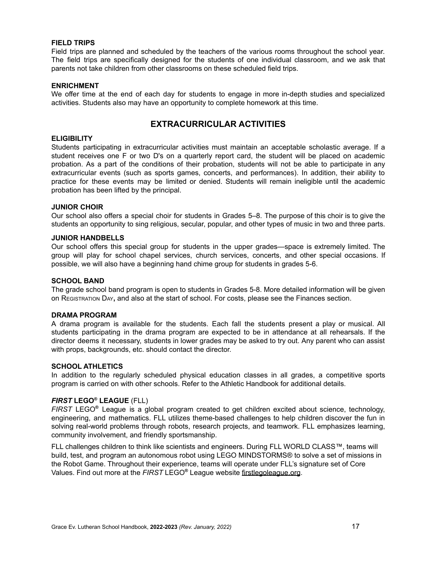#### <span id="page-16-0"></span>**FIELD TRIPS**

Field trips are planned and scheduled by the teachers of the various rooms throughout the school year. The field trips are specifically designed for the students of one individual classroom, and we ask that parents not take children from other classrooms on these scheduled field trips.

#### <span id="page-16-1"></span>**ENRICHMENT**

We offer time at the end of each day for students to engage in more in-depth studies and specialized activities. Students also may have an opportunity to complete homework at this time.

### **EXTRACURRICULAR ACTIVITIES**

#### <span id="page-16-3"></span><span id="page-16-2"></span>**ELIGIBILITY**

Students participating in extracurricular activities must maintain an acceptable scholastic average. If a student receives one F or two D's on a quarterly report card, the student will be placed on academic probation. As a part of the conditions of their probation, students will not be able to participate in any extracurricular events (such as sports games, concerts, and performances). In addition, their ability to practice for these events may be limited or denied. Students will remain ineligible until the academic probation has been lifted by the principal.

#### <span id="page-16-4"></span>**JUNIOR CHOIR**

Our school also offers a special choir for students in Grades 5–8. The purpose of this choir is to give the students an opportunity to sing religious, secular, popular, and other types of music in two and three parts.

#### <span id="page-16-5"></span>**JUNIOR HANDBELLS**

Our school offers this special group for students in the upper grades—space is extremely limited. The group will play for school chapel services, church services, concerts, and other special occasions. If possible, we will also have a beginning hand chime group for students in grades 5-6.

#### <span id="page-16-6"></span>**SCHOOL BAND**

The grade school band program is open to students in Grades 5-8. More detailed information will be given on REGISTRATION DAY**,** and also at the start of school. For costs, please see the Finances section.

#### <span id="page-16-7"></span>**DRAMA PROGRAM**

A drama program is available for the students. Each fall the students present a play or musical. All students participating in the drama program are expected to be in attendance at all rehearsals. If the director deems it necessary, students in lower grades may be asked to try out. Any parent who can assist with props, backgrounds, etc. should contact the director.

#### <span id="page-16-8"></span>**SCHOOL ATHLETICS**

In addition to the regularly scheduled physical education classes in all grades, a competitive sports program is carried on with other schools. Refer to the Athletic Handbook for additional details.

#### <span id="page-16-9"></span>*FIRST* **LEGO ® LEAGUE** (FLL)

*FIRST* LEGO **®** League is a global program created to get children excited about science, technology, engineering, and mathematics. FLL utilizes theme-based challenges to help children discover the fun in solving real-world problems through robots, research projects, and teamwork. FLL emphasizes learning, community involvement, and friendly sportsmanship.

FLL challenges children to think like scientists and engineers. During FLL WORLD CLASS™, teams will build, test, and program an autonomous robot using LEGO MINDSTORMS® to solve a set of missions in the Robot Game. Throughout their experience, teams will operate under FLL's signature set of Core Values. Find out more at the *FIRST* LEGO **®** League website firstlegoleague.org.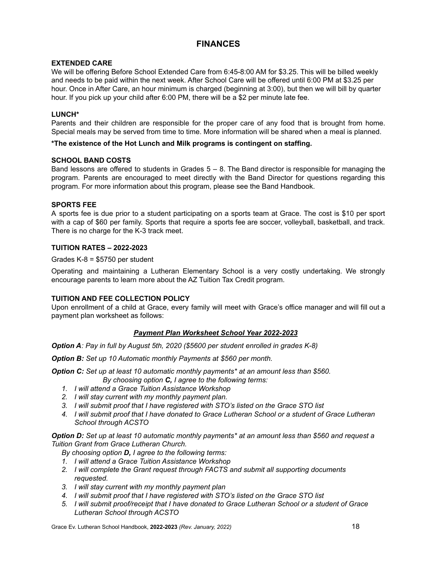# **FINANCES**

#### <span id="page-17-1"></span><span id="page-17-0"></span>**EXTENDED CARE**

We will be offering Before School Extended Care from 6:45-8:00 AM for \$3.25. This will be billed weekly and needs to be paid within the next week. After School Care will be offered until 6:00 PM at \$3.25 per hour. Once in After Care, an hour minimum is charged (beginning at 3:00), but then we will bill by quarter hour. If you pick up your child after 6:00 PM, there will be a \$2 per minute late fee.

#### <span id="page-17-2"></span>**LUNCH\***

Parents and their children are responsible for the proper care of any food that is brought from home. Special meals may be served from time to time. More information will be shared when a meal is planned.

**\*The existence of the Hot Lunch and Milk programs is contingent on staffing.**

#### <span id="page-17-3"></span>**SCHOOL BAND COSTS**

Band lessons are offered to students in Grades  $5 - 8$ . The Band director is responsible for managing the program. Parents are encouraged to meet directly with the Band Director for questions regarding this program. For more information about this program, please see the Band Handbook.

#### <span id="page-17-4"></span>**SPORTS FEE**

A sports fee is due prior to a student participating on a sports team at Grace. The cost is \$10 per sport with a cap of \$60 per family. Sports that require a sports fee are soccer, volleyball, basketball, and track. There is no charge for the K-3 track meet.

#### <span id="page-17-5"></span>**TUITION RATES – 2022-2023**

Grades K-8 = \$5750 per student

Operating and maintaining a Lutheran Elementary School is a very costly undertaking. We strongly encourage parents to learn more about the AZ Tuition Tax Credit program.

#### <span id="page-17-6"></span>**TUITION AND FEE COLLECTION POLICY**

Upon enrollment of a child at Grace, every family will meet with Grace's office manager and will fill out a payment plan worksheet as follows:

#### *Payment Plan Worksheet School Year 2022-2023*

*Option A: Pay in full by August 5th, 2020 (\$5600 per student enrolled in grades K-8)*

*Option B: Set up 10 Automatic monthly Payments at \$560 per month.*

*Option C: Set up at least 10 automatic monthly payments\* at an amount less than \$560. By choosing option C, I agree to the following terms:*

- *1. I will attend a Grace Tuition Assistance Workshop*
- *2. I will stay current with my monthly payment plan.*
- *3. I will submit proof that I have registered with STO's listed on the Grace STO list*
- 4. I will submit proof that I have donated to Grace Lutheran School or a student of Grace Lutheran *School through ACSTO*

Option D: Set up at least 10 automatic monthly payments\* at an amount less than \$560 and request a *Tuition Grant from Grace Lutheran Church.*

*By choosing option D, I agree to the following terms:*

- *1. I will attend a Grace Tuition Assistance Workshop*
- *2. I will complete the Grant request through FACTS and submit all supporting documents requested.*
- *3. I will stay current with my monthly payment plan*
- *4. I will submit proof that I have registered with STO's listed on the Grace STO list*
- *5. I will submit proof/receipt that I have donated to Grace Lutheran School or a student of Grace Lutheran School through ACSTO*

Grace Ev. Lutheran School Handbook, **2022-2023** *(Rev. January, 2022)* 18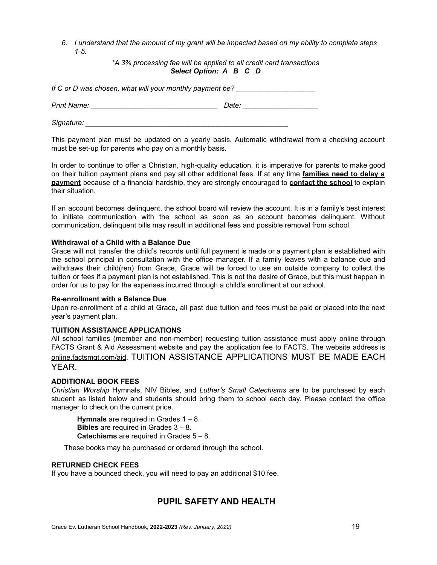6. I understand that the amount of my grant will be impacted based on my ability to complete steps *1-5.*

> *\*A 3% processing fee will be applied to all credit card transactions Select Option: A B C D*

|             | If C or D was chosen, what will your monthly payment be? |       |
|-------------|----------------------------------------------------------|-------|
| Print Name: |                                                          | Date: |

*Signature: \_\_\_\_\_\_\_\_\_\_\_\_\_\_\_\_\_\_\_\_\_\_\_\_\_\_\_\_\_\_\_\_\_\_\_\_\_\_\_\_\_\_\_\_\_\_\_\_\_\_\_*

This payment plan must be updated on a yearly basis. Automatic withdrawal from a checking account must be set-up for parents who pay on a monthly basis.

In order to continue to offer a Christian, high-quality education, it is imperative for parents to make good on their tuition payment plans and pay all other additional fees. If at any time **families need to delay a payment** because of a financial hardship, they are strongly encouraged to **contact the school** to explain their situation.

If an account becomes delinquent, the school board will review the account. It is in a family's best interest to initiate communication with the school as soon as an account becomes delinquent. Without communication, delinquent bills may result in additional fees and possible removal from school.

#### <span id="page-18-0"></span>**Withdrawal of a Child with a Balance Due**

Grace will not transfer the child's records until full payment is made or a payment plan is established with the school principal in consultation with the office manager. If a family leaves with a balance due and withdraws their child(ren) from Grace, Grace will be forced to use an outside company to collect the tuition or fees if a payment plan is not established. This is not the desire of Grace, but this must happen in order for us to pay for the expenses incurred through a child's enrollment at our school.

#### <span id="page-18-1"></span>**Re-enrollment with a Balance Due**

Upon re-enrollment of a child at Grace, all past due tuition and fees must be paid or placed into the next year's payment plan.

#### <span id="page-18-2"></span>**TUITION ASSISTANCE APPLICATIONS**

All school families (member and non-member) requesting tuition assistance must apply online through FACTS Grant & Aid Assessment website and pay the application fee to FACTS. The website address is online.factsmgt.com/aid. TUITION ASSISTANCE APPLICATIONS MUST BE MADE EACH YEAR.

#### <span id="page-18-3"></span>**ADDITIONAL BOOK FEES**

*Christian Worship* Hymnals, NIV Bibles, and *Luther's Small Catechisms* are to be purchased by each student as listed below and students should bring them to school each day. Please contact the office manager to check on the current price.

**Hymnals** are required in Grades 1 – 8. **Bibles** are required in Grades 3 – 8. **Catechisms** are required in Grades 5 – 8.

These books may be purchased or ordered through the school.

#### <span id="page-18-4"></span>**RETURNED CHECK FEES**

<span id="page-18-5"></span>If you have a bounced check, you will need to pay an additional \$10 fee.

# **PUPIL SAFETY AND HEALTH**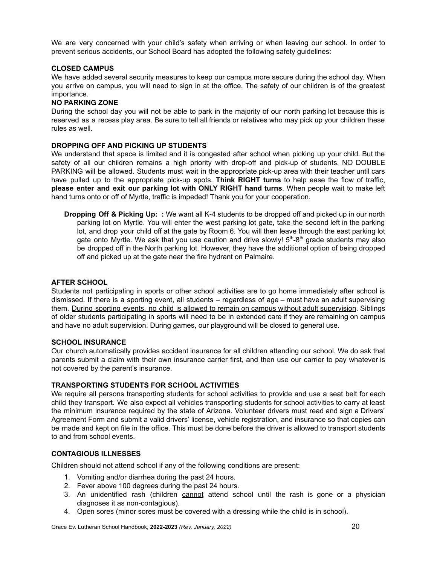We are very concerned with your child's safety when arriving or when leaving our school. In order to prevent serious accidents, our School Board has adopted the following safety guidelines:

#### <span id="page-19-0"></span>**CLOSED CAMPUS**

We have added several security measures to keep our campus more secure during the school day. When you arrive on campus, you will need to sign in at the office. The safety of our children is of the greatest importance.

#### <span id="page-19-1"></span>**NO PARKING ZONE**

During the school day you will not be able to park in the majority of our north parking lot because this is reserved as a recess play area. Be sure to tell all friends or relatives who may pick up your children these rules as well.

#### <span id="page-19-2"></span>**DROPPING OFF AND PICKING UP STUDENTS**

We understand that space is limited and it is congested after school when picking up your child. But the safety of all our children remains a high priority with drop-off and pick-up of students. NO DOUBLE PARKING will be allowed. Students must wait in the appropriate pick-up area with their teacher until cars have pulled up to the appropriate pick-up spots. **Think RIGHT turns** to help ease the flow of traffic, **please enter and exit our parking lot with ONLY RIGHT hand turns**. When people wait to make left hand turns onto or off of Myrtle, traffic is impeded! Thank you for your cooperation.

**Dropping Off & Picking Up: :** We want all K-4 students to be dropped off and picked up in our north parking lot on Myrtle. You will enter the west parking lot gate, take the second left in the parking lot, and drop your child off at the gate by Room 6. You will then leave through the east parking lot gate onto Myrtle. We ask that you use caution and drive slowly!  $5<sup>th</sup>$ -8<sup>th</sup> grade students may also be dropped off in the North parking lot. However, they have the additional option of being dropped off and picked up at the gate near the fire hydrant on Palmaire.

#### <span id="page-19-3"></span>**AFTER SCHOOL**

Students not participating in sports or other school activities are to go home immediately after school is dismissed. If there is a sporting event, all students – regardless of age – must have an adult supervising them. During sporting events, no child is allowed to remain on campus without adult supervision. Siblings of older students participating in sports will need to be in extended care if they are remaining on campus and have no adult supervision. During games, our playground will be closed to general use.

#### <span id="page-19-4"></span>**SCHOOL INSURANCE**

Our church automatically provides accident insurance for all children attending our school. We do ask that parents submit a claim with their own insurance carrier first, and then use our carrier to pay whatever is not covered by the parent's insurance.

#### <span id="page-19-5"></span>**TRANSPORTING STUDENTS FOR SCHOOL ACTIVITIES**

We require all persons transporting students for school activities to provide and use a seat belt for each child they transport. We also expect all vehicles transporting students for school activities to carry at least the minimum insurance required by the state of Arizona. Volunteer drivers must read and sign a Drivers' Agreement Form and submit a valid drivers' license, vehicle registration, and insurance so that copies can be made and kept on file in the office. This must be done before the driver is allowed to transport students to and from school events.

#### <span id="page-19-6"></span>**CONTAGIOUS ILLNESSES**

Children should not attend school if any of the following conditions are present:

- 1. Vomiting and/or diarrhea during the past 24 hours.
- 2. Fever above 100 degrees during the past 24 hours.
- 3. An unidentified rash (children cannot attend school until the rash is gone or a physician diagnoses it as non-contagious).
- 4. Open sores (minor sores must be covered with a dressing while the child is in school).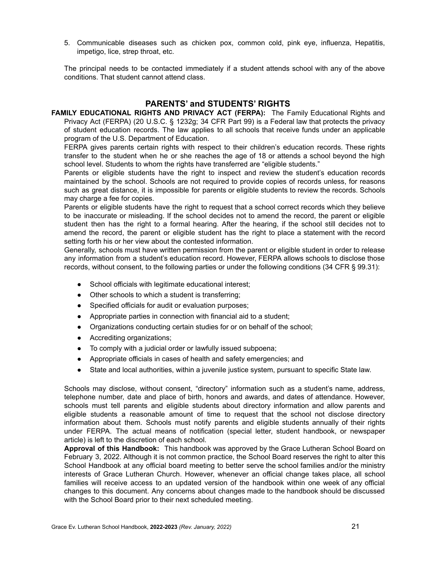5. Communicable diseases such as chicken pox, common cold, pink eye, influenza, Hepatitis, impetigo, lice, strep throat, etc.

The principal needs to be contacted immediately if a student attends school with any of the above conditions. That student cannot attend class.

#### **PARENTS' and STUDENTS' RIGHTS**

## <span id="page-20-0"></span>**FAMILY EDUCATIONAL RIGHTS AND PRIVACY ACT (FERPA):** The Family Educational Rights and

Privacy Act (FERPA) (20 U.S.C. § 1232g; 34 CFR Part 99) is a Federal law that protects the privacy of student education records. The law applies to all schools that receive funds under an applicable program of the U.S. Department of Education.

FERPA gives parents certain rights with respect to their children's education records. These rights transfer to the student when he or she reaches the age of 18 or attends a school beyond the high school level. Students to whom the rights have transferred are "eligible students."

Parents or eligible students have the right to inspect and review the student's education records maintained by the school. Schools are not required to provide copies of records unless, for reasons such as great distance, it is impossible for parents or eligible students to review the records. Schools may charge a fee for copies.

Parents or eligible students have the right to request that a school correct records which they believe to be inaccurate or misleading. If the school decides not to amend the record, the parent or eligible student then has the right to a formal hearing. After the hearing, if the school still decides not to amend the record, the parent or eligible student has the right to place a statement with the record setting forth his or her view about the contested information.

Generally, schools must have written permission from the parent or eligible student in order to release any information from a student's education record. However, FERPA allows schools to disclose those records, without consent, to the following parties or under the following conditions (34 CFR § 99.31):

- School officials with legitimate educational interest;
- Other schools to which a student is transferring;
- Specified officials for audit or evaluation purposes;
- Appropriate parties in connection with financial aid to a student;
- Organizations conducting certain studies for or on behalf of the school;
- Accrediting organizations;
- To comply with a judicial order or lawfully issued subpoena;
- Appropriate officials in cases of health and safety emergencies; and
- State and local authorities, within a juvenile justice system, pursuant to specific State law.

Schools may disclose, without consent, "directory" information such as a student's name, address, telephone number, date and place of birth, honors and awards, and dates of attendance. However, schools must tell parents and eligible students about directory information and allow parents and eligible students a reasonable amount of time to request that the school not disclose directory information about them. Schools must notify parents and eligible students annually of their rights under FERPA. The actual means of notification (special letter, student handbook, or newspaper article) is left to the discretion of each school.

**Approval of this Handbook:** This handbook was approved by the Grace Lutheran School Board on February 3, 2022. Although it is not common practice, the School Board reserves the right to alter this School Handbook at any official board meeting to better serve the school families and/or the ministry interests of Grace Lutheran Church. However, whenever an official change takes place, all school families will receive access to an updated version of the handbook within one week of any official changes to this document. Any concerns about changes made to the handbook should be discussed with the School Board prior to their next scheduled meeting.